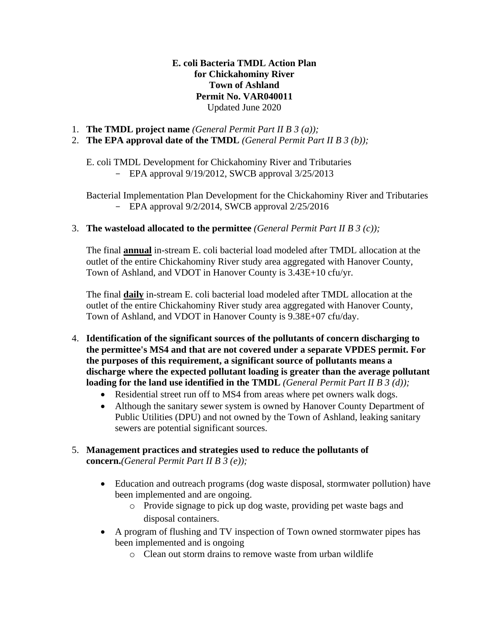**E. coli Bacteria TMDL Action Plan for Chickahominy River Town of Ashland Permit No. VAR040011** Updated June 2020

- 1. **The TMDL project name** *(General Permit Part II B 3 (a));*
- 2. **The EPA approval date of the TMDL** *(General Permit Part II B 3 (b));*

E. coli TMDL Development for Chickahominy River and Tributaries - EPA approval 9/19/2012, SWCB approval 3/25/2013

Bacterial Implementation Plan Development for the Chickahominy River and Tributaries - EPA approval 9/2/2014, SWCB approval 2/25/2016

## 3. **The wasteload allocated to the permittee** *(General Permit Part II B 3 (c));*

The final **annual** in-stream E. coli bacterial load modeled after TMDL allocation at the outlet of the entire Chickahominy River study area aggregated with Hanover County, Town of Ashland, and VDOT in Hanover County is 3.43E+10 cfu/yr.

The final **daily** in-stream E. coli bacterial load modeled after TMDL allocation at the outlet of the entire Chickahominy River study area aggregated with Hanover County, Town of Ashland, and VDOT in Hanover County is 9.38E+07 cfu/day.

- 4. **Identification of the significant sources of the pollutants of concern discharging to the permittee's MS4 and that are not covered under a separate VPDES permit. For the purposes of this requirement, a significant source of pollutants means a discharge where the expected pollutant loading is greater than the average pollutant loading for the land use identified in the TMDL** *(General Permit Part II B 3 (d));* 
	- Residential street run off to MS4 from areas where pet owners walk dogs.
	- Although the sanitary sewer system is owned by Hanover County Department of Public Utilities (DPU) and not owned by the Town of Ashland, leaking sanitary sewers are potential significant sources.
- 5. **Management practices and strategies used to reduce the pollutants of concern.***(General Permit Part II B 3 (e));*
	- Education and outreach programs (dog waste disposal, stormwater pollution) have been implemented and are ongoing.
		- o Provide signage to pick up dog waste, providing pet waste bags and disposal containers.
	- A program of flushing and TV inspection of Town owned stormwater pipes has been implemented and is ongoing
		- o Clean out storm drains to remove waste from urban wildlife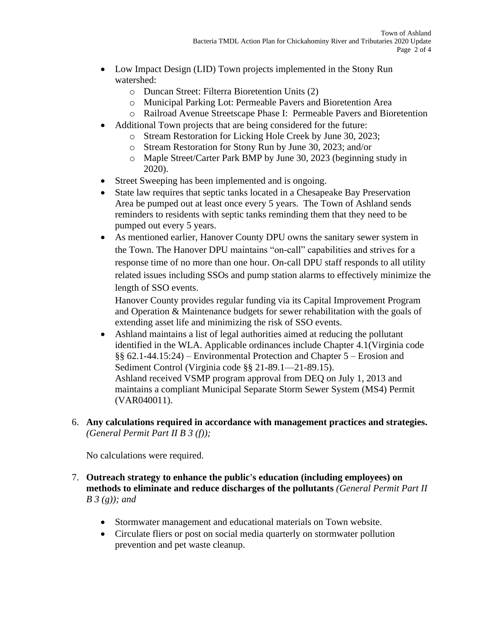- Low Impact Design (LID) Town projects implemented in the Stony Run watershed:
	- o Duncan Street: Filterra Bioretention Units (2)
	- o Municipal Parking Lot: Permeable Pavers and Bioretention Area
	- o Railroad Avenue Streetscape Phase I: Permeable Pavers and Bioretention
- Additional Town projects that are being considered for the future:
	- o Stream Restoration for Licking Hole Creek by June 30, 2023;
	- o Stream Restoration for Stony Run by June 30, 2023; and/or
	- o Maple Street/Carter Park BMP by June 30, 2023 (beginning study in 2020).
- Street Sweeping has been implemented and is ongoing.
- State law requires that septic tanks located in a Chesapeake Bay Preservation Area be pumped out at least once every 5 years. The Town of Ashland sends reminders to residents with septic tanks reminding them that they need to be pumped out every 5 years.
- As mentioned earlier, Hanover County DPU owns the sanitary sewer system in the Town. The Hanover DPU maintains "on-call" capabilities and strives for a response time of no more than one hour. On-call DPU staff responds to all utility related issues including SSOs and pump station alarms to effectively minimize the length of SSO events.

Hanover County provides regular funding via its Capital Improvement Program and Operation & Maintenance budgets for sewer rehabilitation with the goals of extending asset life and minimizing the risk of SSO events.

- Ashland maintains a list of legal authorities aimed at reducing the pollutant identified in the WLA. Applicable ordinances include Chapter 4.1(Virginia code §§ 62.1-44.15:24) – Environmental Protection and Chapter 5 – Erosion and Sediment Control (Virginia code §§ 21-89.1—21-89.15). Ashland received VSMP program approval from DEQ on July 1, 2013 and maintains a compliant Municipal Separate Storm Sewer System (MS4) Permit (VAR040011).
- 6. **Any calculations required in accordance with management practices and strategies.** *(General Permit Part II B 3 (f));*

No calculations were required.

- 7. **Outreach strategy to enhance the public's education (including employees) on methods to eliminate and reduce discharges of the pollutants** *(General Permit Part II B 3 (g)); and* 
	- Stormwater management and educational materials on Town website.
	- Circulate fliers or post on social media quarterly on stormwater pollution prevention and pet waste cleanup.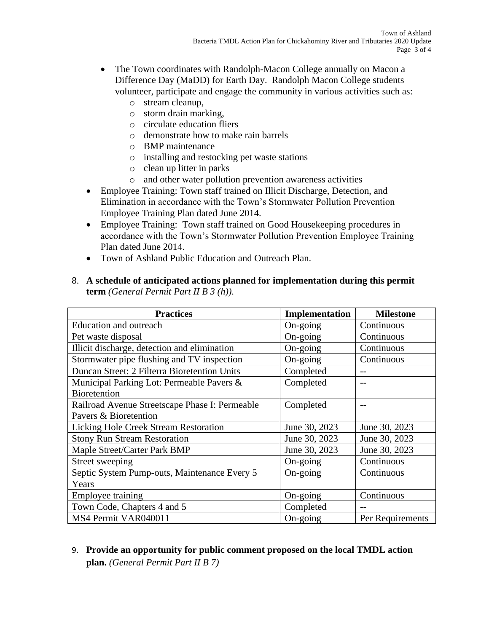- The Town coordinates with Randolph-Macon College annually on Macon a Difference Day (MaDD) for Earth Day. Randolph Macon College students volunteer, participate and engage the community in various activities such as:
	- o stream cleanup,
	- o storm drain marking,
	- o circulate education fliers
	- o demonstrate how to make rain barrels
	- o BMP maintenance
	- o installing and restocking pet waste stations
	- o clean up litter in parks
	- o and other water pollution prevention awareness activities
- Employee Training: Town staff trained on Illicit Discharge, Detection, and Elimination in accordance with the Town's Stormwater Pollution Prevention Employee Training Plan dated June 2014.
- Employee Training: Town staff trained on Good Housekeeping procedures in accordance with the Town's Stormwater Pollution Prevention Employee Training Plan dated June 2014.
- Town of Ashland Public Education and Outreach Plan.
- 8. **A schedule of anticipated actions planned for implementation during this permit term** *(General Permit Part II B 3 (h)).*

| <b>Practices</b>                               | Implementation    | <b>Milestone</b> |
|------------------------------------------------|-------------------|------------------|
| <b>Education and outreach</b>                  | On-going          | Continuous       |
| Pet waste disposal                             | On-going          | Continuous       |
| Illicit discharge, detection and elimination   | On-going          | Continuous       |
| Stormwater pipe flushing and TV inspection     | On-going          | Continuous       |
| Duncan Street: 2 Filterra Bioretention Units   | Completed         |                  |
| Municipal Parking Lot: Permeable Pavers &      | Completed         |                  |
| <b>Bioretention</b>                            |                   |                  |
| Railroad Avenue Streetscape Phase I: Permeable | Completed         |                  |
| Pavers & Bioretention                          |                   |                  |
| Licking Hole Creek Stream Restoration          | June 30, 2023     | June 30, 2023    |
| <b>Stony Run Stream Restoration</b>            | June 30, 2023     | June 30, 2023    |
| Maple Street/Carter Park BMP                   | June 30, 2023     | June 30, 2023    |
| Street sweeping                                | On-going          | Continuous       |
| Septic System Pump-outs, Maintenance Every 5   | On-going          | Continuous       |
| Years                                          |                   |                  |
| Employee training                              | On-going          | Continuous       |
| Town Code, Chapters 4 and 5                    | Completed         |                  |
| MS4 Permit VAR040011                           | $On\text{-going}$ | Per Requirements |

## 9. **Provide an opportunity for public comment proposed on the local TMDL action plan.** *(General Permit Part II B 7)*